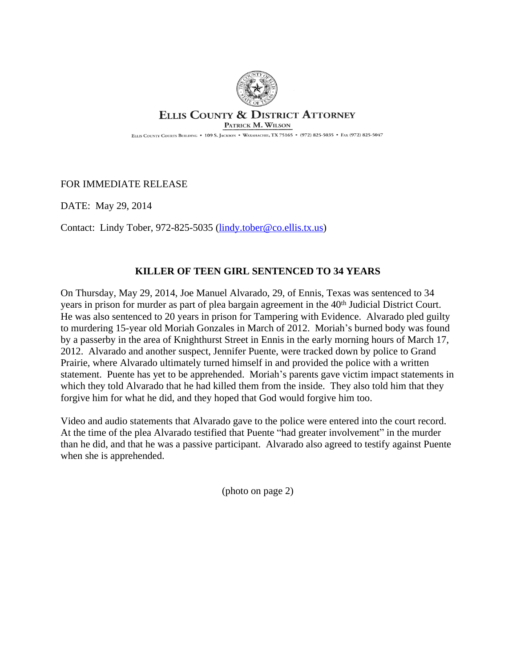

## **ELLIS COUNTY & DISTRICT ATTORNEY** PATRICK M. WILSON

ELLIS COUNTY COURTS BUILDING . 109 S. JACKSON . WAXAHACHIE, TX 75165 . (972) 825-5035 . FAX (972) 825-5047

FOR IMMEDIATE RELEASE

DATE: May 29, 2014

Contact: Lindy Tober, 972-825-5035 ([lindy.tober@co.ellis.tx.us\)](mailto:lindy.tober@co.ellis.tx.us)

## **KILLER OF TEEN GIRL SENTENCED TO 34 YEARS**

On Thursday, May 29, 2014, Joe Manuel Alvarado, 29, of Ennis, Texas was sentenced to 34 years in prison for murder as part of plea bargain agreement in the 40<sup>th</sup> Judicial District Court. He was also sentenced to 20 years in prison for Tampering with Evidence. Alvarado pled guilty to murdering 15-year old Moriah Gonzales in March of 2012. Moriah's burned body was found by a passerby in the area of Knighthurst Street in Ennis in the early morning hours of March 17, 2012. Alvarado and another suspect, Jennifer Puente, were tracked down by police to Grand Prairie, where Alvarado ultimately turned himself in and provided the police with a written statement. Puente has yet to be apprehended. Moriah's parents gave victim impact statements in which they told Alvarado that he had killed them from the inside. They also told him that they forgive him for what he did, and they hoped that God would forgive him too.

Video and audio statements that Alvarado gave to the police were entered into the court record. At the time of the plea Alvarado testified that Puente "had greater involvement" in the murder than he did, and that he was a passive participant. Alvarado also agreed to testify against Puente when she is apprehended.

(photo on page 2)